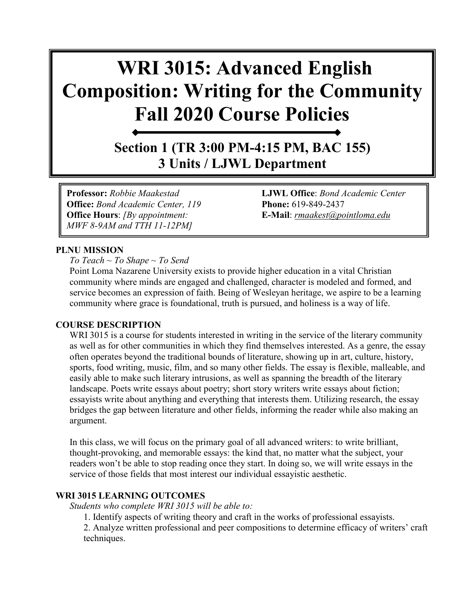# **WRI 3015: Advanced English Composition: Writing for the Community Fall 2020 Course Policies**

**Section 1 (TR 3:00 PM-4:15 PM, BAC 155) 3 Units / LJWL Department**

**Office:** *Bond Academic Center, 119* **Phone:** 619-849-2437 **Office Hours**: *[By appointment:* **E-Mail**: *[rmaakest@pointloma.edu](mailto:rmaakest@pointloma.edu) MWF 8-9AM and TTH 11-12PM]*

**Professor:** *Robbie Maakestad* **LJWL Office**: *Bond Academic Center* 

#### **PLNU MISSION**

*To Teach ~ To Shape ~ To Send* 

Point Loma Nazarene University exists to provide higher education in a vital Christian community where minds are engaged and challenged, character is modeled and formed, and service becomes an expression of faith. Being of Wesleyan heritage, we aspire to be a learning community where grace is foundational, truth is pursued, and holiness is a way of life.

#### **COURSE DESCRIPTION**

WRI 3015 is a course for students interested in writing in the service of the literary community as well as for other communities in which they find themselves interested. As a genre, the essay often operates beyond the traditional bounds of literature, showing up in art, culture, history, sports, food writing, music, film, and so many other fields. The essay is flexible, malleable, and easily able to make such literary intrusions, as well as spanning the breadth of the literary landscape. Poets write essays about poetry; short story writers write essays about fiction; essayists write about anything and everything that interests them. Utilizing research, the essay bridges the gap between literature and other fields, informing the reader while also making an argument.

In this class, we will focus on the primary goal of all advanced writers: to write brilliant, thought-provoking, and memorable essays: the kind that, no matter what the subject, your readers won't be able to stop reading once they start. In doing so, we will write essays in the service of those fields that most interest our individual essayistic aesthetic.

#### **WRI 3015 LEARNING OUTCOMES**

*Students who complete WRI 3015 will be able to:* 

1. Identify aspects of writing theory and craft in the works of professional essayists.

2. Analyze written professional and peer compositions to determine efficacy of writers' craft techniques.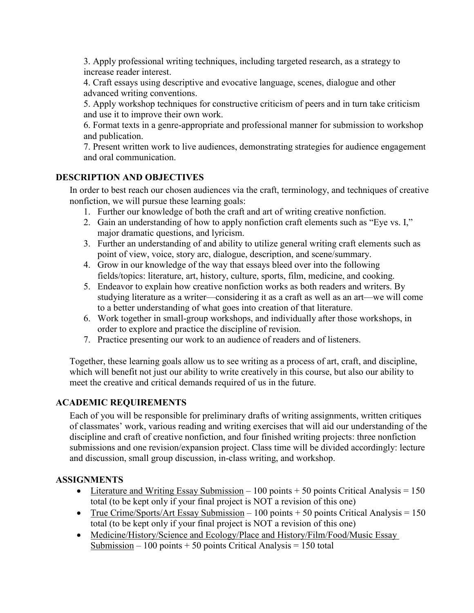3. Apply professional writing techniques, including targeted research, as a strategy to increase reader interest.

4. Craft essays using descriptive and evocative language, scenes, dialogue and other advanced writing conventions.

5. Apply workshop techniques for constructive criticism of peers and in turn take criticism and use it to improve their own work.

6. Format texts in a genre-appropriate and professional manner for submission to workshop and publication.

7. Present written work to live audiences, demonstrating strategies for audience engagement and oral communication.

#### **DESCRIPTION AND OBJECTIVES**

In order to best reach our chosen audiences via the craft, terminology, and techniques of creative nonfiction, we will pursue these learning goals:

- 1. Further our knowledge of both the craft and art of writing creative nonfiction.
- 2. Gain an understanding of how to apply nonfiction craft elements such as "Eye vs. I," major dramatic questions, and lyricism.
- 3. Further an understanding of and ability to utilize general writing craft elements such as point of view, voice, story arc, dialogue, description, and scene/summary.
- 4. Grow in our knowledge of the way that essays bleed over into the following fields/topics: literature, art, history, culture, sports, film, medicine, and cooking.
- 5. Endeavor to explain how creative nonfiction works as both readers and writers. By studying literature as a writer—considering it as a craft as well as an art—we will come to a better understanding of what goes into creation of that literature.
- 6. Work together in small-group workshops, and individually after those workshops, in order to explore and practice the discipline of revision.
- 7. Practice presenting our work to an audience of readers and of listeners.

Together, these learning goals allow us to see writing as a process of art, craft, and discipline, which will benefit not just our ability to write creatively in this course, but also our ability to meet the creative and critical demands required of us in the future.

#### **ACADEMIC REQUIREMENTS**

Each of you will be responsible for preliminary drafts of writing assignments, written critiques of classmates' work, various reading and writing exercises that will aid our understanding of the discipline and craft of creative nonfiction, and four finished writing projects: three nonfiction submissions and one revision/expansion project. Class time will be divided accordingly: lecture and discussion, small group discussion, in-class writing, and workshop.

#### **ASSIGNMENTS**

- Literature and Writing Essay Submission 100 points + 50 points Critical Analysis = 150 total (to be kept only if your final project is NOT a revision of this one)
- True Crime/Sports/Art Essay Submission 100 points + 50 points Critical Analysis = 150 total (to be kept only if your final project is NOT a revision of this one)
- Medicine/History/Science and Ecology/Place and History/Film/Food/Music Essay Submission – 100 points + 50 points Critical Analysis = 150 total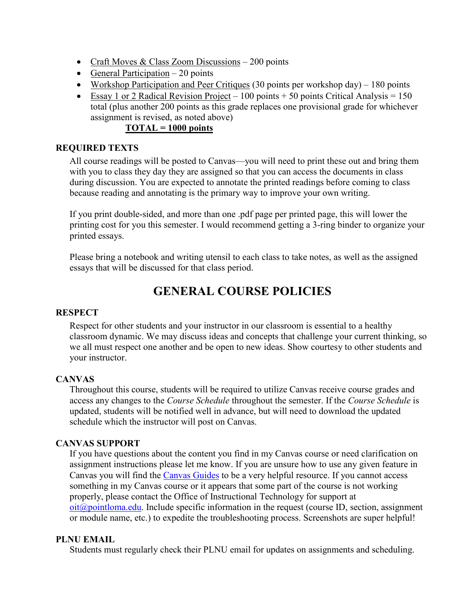- Craft Moves & Class Zoom Discussions 200 points
- General Participation  $-20$  points
- Workshop Participation and Peer Critiques (30 points per workshop day) 180 points
- Essay 1 or 2 Radical Revision Project 100 points + 50 points Critical Analysis = 150 total (plus another 200 points as this grade replaces one provisional grade for whichever assignment is revised, as noted above)

#### **TOTAL = 1000 points**

#### **REQUIRED TEXTS**

All course readings will be posted to Canvas—you will need to print these out and bring them with you to class they day they are assigned so that you can access the documents in class during discussion. You are expected to annotate the printed readings before coming to class because reading and annotating is the primary way to improve your own writing.

If you print double-sided, and more than one .pdf page per printed page, this will lower the printing cost for you this semester. I would recommend getting a 3-ring binder to organize your printed essays.

Please bring a notebook and writing utensil to each class to take notes, as well as the assigned essays that will be discussed for that class period.

### **GENERAL COURSE POLICIES**

#### **RESPECT**

Respect for other students and your instructor in our classroom is essential to a healthy classroom dynamic. We may discuss ideas and concepts that challenge your current thinking, so we all must respect one another and be open to new ideas. Show courtesy to other students and your instructor.

#### **CANVAS**

Throughout this course, students will be required to utilize Canvas receive course grades and access any changes to the *Course Schedule* throughout the semester. If the *Course Schedule* is updated, students will be notified well in advance, but will need to download the updated schedule which the instructor will post on Canvas.

#### **CANVAS SUPPORT**

If you have questions about the content you find in my Canvas course or need clarification on assignment instructions please let me know. If you are unsure how to use any given feature in Canvas you will find the [Canvas Guides](https://community.canvaslms.com/community/answers/guides/) to be a very helpful resource. If you cannot access something in my Canvas course or it appears that some part of the course is not working properly, please contact the Office of Instructional Technology for support at  $oit(\omega)$  pointloma.edu. Include specific information in the request (course ID, section, assignment or module name, etc.) to expedite the troubleshooting process. Screenshots are super helpful!

#### **PLNU EMAIL**

Students must regularly check their PLNU email for updates on assignments and scheduling.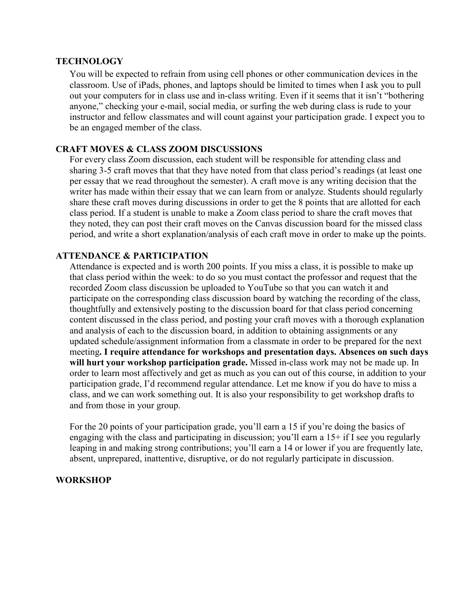#### **TECHNOLOGY**

You will be expected to refrain from using cell phones or other communication devices in the classroom. Use of iPads, phones, and laptops should be limited to times when I ask you to pull out your computers for in class use and in-class writing. Even if it seems that it isn't "bothering anyone," checking your e-mail, social media, or surfing the web during class is rude to your instructor and fellow classmates and will count against your participation grade. I expect you to be an engaged member of the class.

#### **CRAFT MOVES & CLASS ZOOM DISCUSSIONS**

For every class Zoom discussion, each student will be responsible for attending class and sharing 3-5 craft moves that that they have noted from that class period's readings (at least one per essay that we read throughout the semester). A craft move is any writing decision that the writer has made within their essay that we can learn from or analyze. Students should regularly share these craft moves during discussions in order to get the 8 points that are allotted for each class period. If a student is unable to make a Zoom class period to share the craft moves that they noted, they can post their craft moves on the Canvas discussion board for the missed class period, and write a short explanation/analysis of each craft move in order to make up the points.

#### **ATTENDANCE & PARTICIPATION**

Attendance is expected and is worth 200 points. If you miss a class, it is possible to make up that class period within the week: to do so you must contact the professor and request that the recorded Zoom class discussion be uploaded to YouTube so that you can watch it and participate on the corresponding class discussion board by watching the recording of the class, thoughtfully and extensively posting to the discussion board for that class period concerning content discussed in the class period, and posting your craft moves with a thorough explanation and analysis of each to the discussion board, in addition to obtaining assignments or any updated schedule/assignment information from a classmate in order to be prepared for the next meeting**. I require attendance for workshops and presentation days. Absences on such days will hurt your workshop participation grade.** Missed in-class work may not be made up. In order to learn most affectively and get as much as you can out of this course, in addition to your participation grade, I'd recommend regular attendance. Let me know if you do have to miss a class, and we can work something out. It is also your responsibility to get workshop drafts to and from those in your group.

For the 20 points of your participation grade, you'll earn a 15 if you're doing the basics of engaging with the class and participating in discussion; you'll earn a 15+ if I see you regularly leaping in and making strong contributions; you'll earn a 14 or lower if you are frequently late, absent, unprepared, inattentive, disruptive, or do not regularly participate in discussion.

#### **WORKSHOP**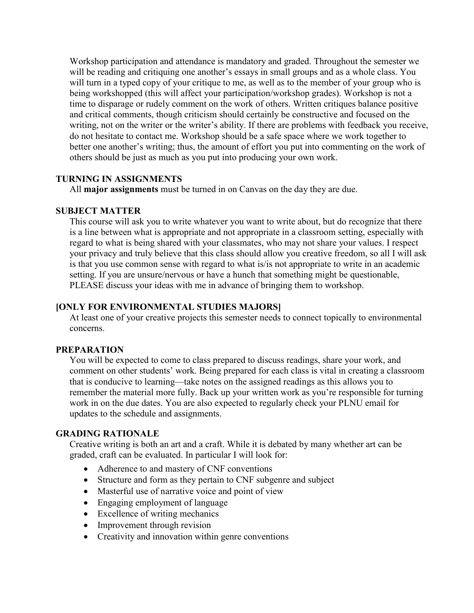Workshop participation and attendance is mandatory and graded. Throughout the semester we will be reading and critiquing one another's essays in small groups and as a whole class. You will turn in a typed copy of your critique to me, as well as to the member of your group who is being workshopped (this will affect your participation/workshop grades). Workshop is not a time to disparage or rudely comment on the work of others. Written critiques balance positive and critical comments, though criticism should certainly be constructive and focused on the writing, not on the writer or the writer's ability. If there are problems with feedback you receive, do not hesitate to contact me. Workshop should be a safe space where we work together to better one another's writing; thus, the amount of effort you put into commenting on the work of others should be just as much as you put into producing your own work.

#### **TURNING IN ASSIGNMENTS**

All **major assignments** must be turned in on Canvas on the day they are due.

#### **SUBJECT MATTER**

This course will ask you to write whatever you want to write about, but do recognize that there is a line between what is appropriate and not appropriate in a classroom setting, especially with regard to what is being shared with your classmates, who may not share your values. I respect your privacy and truly believe that this class should allow you creative freedom, so all I will ask is that you use common sense with regard to what is/is not appropriate to write in an academic setting. If you are unsure/nervous or have a hunch that something might be questionable, PLEASE discuss your ideas with me in advance of bringing them to workshop.

#### **[ONLY FOR ENVIRONMENTAL STUDIES MAJORS]**

At least one of your creative projects this semester needs to connect topically to environmental concerns.

#### **PREPARATION**

You will be expected to come to class prepared to discuss readings, share your work, and comment on other students' work. Being prepared for each class is vital in creating a classroom that is conducive to learning—take notes on the assigned readings as this allows you to remember the material more fully. Back up your written work as you're responsible for turning work in on the due dates. You are also expected to regularly check your PLNU email for updates to the schedule and assignments.

#### **GRADING RATIONALE**

Creative writing is both an art and a craft. While it is debated by many whether art can be graded, craft can be evaluated. In particular I will look for:

- Adherence to and mastery of CNF conventions
- Structure and form as they pertain to CNF subgenre and subject
- Masterful use of narrative voice and point of view
- Engaging employment of language
- Excellence of writing mechanics
- Improvement through revision
- Creativity and innovation within genre conventions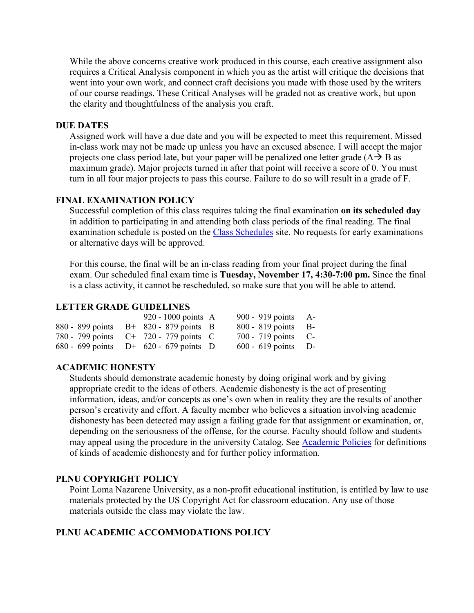While the above concerns creative work produced in this course, each creative assignment also requires a Critical Analysis component in which you as the artist will critique the decisions that went into your own work, and connect craft decisions you made with those used by the writers of our course readings. These Critical Analyses will be graded not as creative work, but upon the clarity and thoughtfulness of the analysis you craft.

#### **DUE DATES**

Assigned work will have a due date and you will be expected to meet this requirement. Missed in-class work may not be made up unless you have an excused absence. I will accept the major projects one class period late, but your paper will be penalized one letter grade  $(A \rightarrow B$  as maximum grade). Major projects turned in after that point will receive a score of 0. You must turn in all four major projects to pass this course. Failure to do so will result in a grade of F.

#### **FINAL EXAMINATION POLICY**

Successful completion of this class requires taking the final examination **on its scheduled day** in addition to participating in and attending both class periods of the final reading. The final examination schedule is posted on the [Class Schedules](http://www.pointloma.edu/experience/academics/class-schedules) site. No requests for early examinations or alternative days will be approved.

For this course, the final will be an in-class reading from your final project during the final exam. Our scheduled final exam time is **Tuesday, November 17, 4:30-7:00 pm.** Since the final is a class activity, it cannot be rescheduled, so make sure that you will be able to attend.

#### **LETTER GRADE GUIDELINES**

|  | 920 - 1000 points $\overline{A}$          | 900 - 919 points $A-$ |  |
|--|-------------------------------------------|-----------------------|--|
|  | 880 - 899 points $B+820-879$ points B     | $800 - 819$ points B- |  |
|  | 780 - 799 points $C^+$ 720 - 779 points C | $700 - 719$ points C- |  |
|  | 680 - 699 points $D^+$ 620 - 679 points D | $600 - 619$ points D- |  |

#### **ACADEMIC HONESTY**

Students should demonstrate academic honesty by doing original work and by giving appropriate credit to the ideas of others. Academic dishonesty is the act of presenting information, ideas, and/or concepts as one's own when in reality they are the results of another person's creativity and effort. A faculty member who believes a situation involving academic dishonesty has been detected may assign a failing grade for that assignment or examination, or, depending on the seriousness of the offense, for the course. Faculty should follow and students may appeal using the procedure in the university Catalog. See **Academic Policies** for definitions of kinds of academic dishonesty and for further policy information.

#### **PLNU COPYRIGHT POLICY**

Point Loma Nazarene University, as a non-profit educational institution, is entitled by law to use materials protected by the US Copyright Act for classroom education. Any use of those materials outside the class may violate the law.

#### **PLNU ACADEMIC ACCOMMODATIONS POLICY**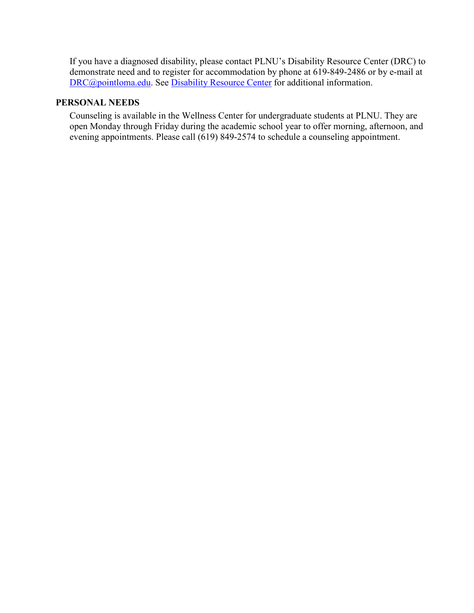If you have a diagnosed disability, please contact PLNU's Disability Resource Center (DRC) to demonstrate need and to register for accommodation by phone at 619-849-2486 or by e-mail at [DRC@pointloma.edu.](mailto:DRC@pointloma.edu) See [Disability Resource Center](http://www.pointloma.edu/experience/offices/administrative-offices/academic-advising-office/disability-resource-center) for additional information.

#### **PERSONAL NEEDS**

Counseling is available in the Wellness Center for undergraduate students at PLNU. They are open Monday through Friday during the academic school year to offer morning, afternoon, and evening appointments. Please call (619) 849-2574 to schedule a counseling appointment.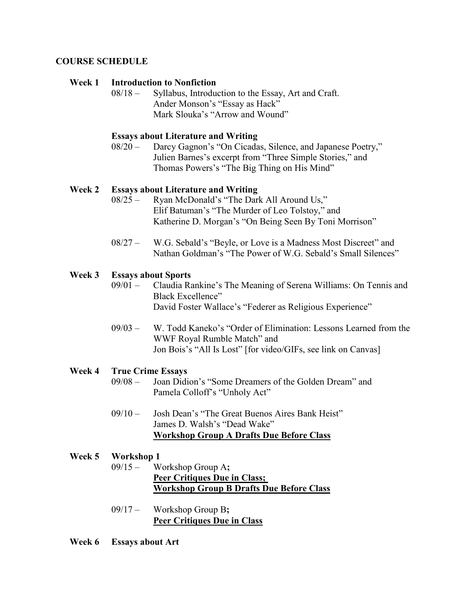#### **COURSE SCHEDULE**

#### **Week 1 Introduction to Nonfiction**

08/18 – Syllabus, Introduction to the Essay, Art and Craft. Ander Monson's "Essay as Hack" Mark Slouka's "Arrow and Wound"

#### **Essays about Literature and Writing**

08/20 – Darcy Gagnon's "On Cicadas, Silence, and Japanese Poetry," Julien Barnes's excerpt from "Three Simple Stories," and Thomas Powers's "The Big Thing on His Mind"

#### **Week 2 Essays about Literature and Writing**

- 08/25 Ryan McDonald's "The Dark All Around Us," Elif Batuman's "The Murder of Leo Tolstoy," and Katherine D. Morgan's "On Being Seen By Toni Morrison"
- 08/27 W.G. Sebald's "Beyle, or Love is a Madness Most Discreet" and Nathan Goldman's "The Power of W.G. Sebald's Small Silences"

#### **Week 3 Essays about Sports**

- 09/01 Claudia Rankine's The Meaning of Serena Williams: On Tennis and Black Excellence" David Foster Wallace's "Federer as Religious Experience"
- 09/03 W. Todd Kaneko's "Order of Elimination: Lessons Learned from the WWF Royal Rumble Match" and Jon Bois's "All Is Lost" [for video/GIFs, see link on Canvas]

#### **Week 4 True Crime Essays**

- 09/08 Joan Didion's "Some Dreamers of the Golden Dream" and Pamela Colloff's "Unholy Act"
- 09/10 Josh Dean's "The Great Buenos Aires Bank Heist" James D. Walsh's "Dead Wake" **Workshop Group A Drafts Due Before Class**

#### **Week 5 Workshop 1**

- 09/15 Workshop Group A**; Peer Critiques Due in Class; Workshop Group B Drafts Due Before Class**
- 09/17 Workshop Group B**; Peer Critiques Due in Class**

**Week 6 Essays about Art**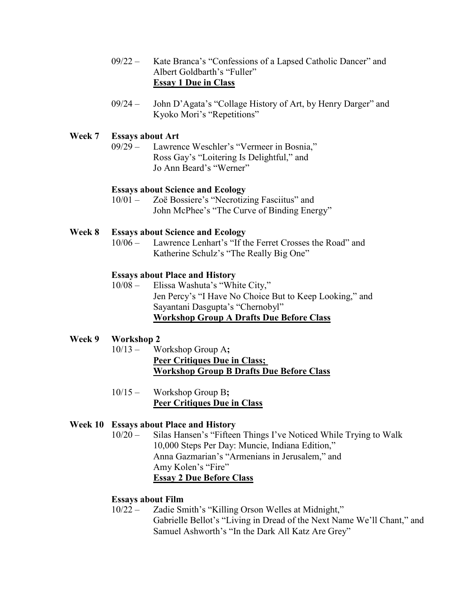- 09/22 Kate Branca's "Confessions of a Lapsed Catholic Dancer" and Albert Goldbarth's "Fuller" **Essay 1 Due in Class**
- 09/24 John D'Agata's "Collage History of Art, by Henry Darger" and Kyoko Mori's "Repetitions"

## **Week 7 Essays about Art**

Lawrence Weschler's "Vermeer in Bosnia," Ross Gay's "Loitering Is Delightful," and Jo Ann Beard's "Werner"

#### **Essays about Science and Ecology**

10/01 – Zoë Bossiere's "Necrotizing Fasciitus" and John McPhee's "The Curve of Binding Energy"

### **Week 8 Essays about Science and Ecology**

Lawrence Lenhart's "If the Ferret Crosses the Road" and Katherine Schulz's "The Really Big One"

#### **Essays about Place and History**

10/08 – Elissa Washuta's "White City," Jen Percy's "I Have No Choice But to Keep Looking," and Sayantani Dasgupta's "Chernobyl" **Workshop Group A Drafts Due Before Class**

#### **Week 9 Workshop 2**

- 10/13 Workshop Group A**; Peer Critiques Due in Class; Workshop Group B Drafts Due Before Class**
- 10/15 Workshop Group B**; Peer Critiques Due in Class**

#### **Week 10 Essays about Place and History**

10/20 – Silas Hansen's "Fifteen Things I've Noticed While Trying to Walk 10,000 Steps Per Day: Muncie, Indiana Edition," Anna Gazmarian's "Armenians in Jerusalem," and Amy Kolen's "Fire" **Essay 2 Due Before Class**

#### **Essays about Film**

10/22 – Zadie Smith's "Killing Orson Welles at Midnight," Gabrielle Bellot's "Living in Dread of the Next Name We'll Chant," and Samuel Ashworth's "In the Dark All Katz Are Grey"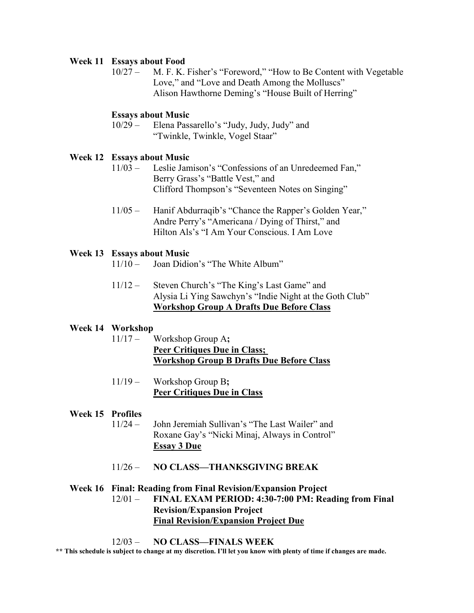#### **Week 11 Essays about Food**

10/27 – M. F. K. Fisher's "Foreword," "How to Be Content with Vegetable Love," and "Love and Death Among the Molluscs" Alison Hawthorne Deming's "House Built of Herring"

#### **Essays about Music**

10/29 – Elena Passarello's "Judy, Judy, Judy" and "Twinkle, Twinkle, Vogel Staar"

#### **Week 12 Essays about Music**

- 11/03 Leslie Jamison's "Confessions of an Unredeemed Fan," Berry Grass's "Battle Vest," and Clifford Thompson's "Seventeen Notes on Singing"
- 11/05 Hanif Abdurraqib's "Chance the Rapper's Golden Year," Andre Perry's "Americana / Dying of Thirst," and Hilton Als's "I Am Your Conscious. I Am Love

#### **Week 13 Essays about Music**

- 11/10 Joan Didion's "The White Album"
- 11/12 Steven Church's "The King's Last Game" and Alysia Li Ying Sawchyn's "Indie Night at the Goth Club" **Workshop Group A Drafts Due Before Class**

#### **Week 14 Workshop**

- 11/17 Workshop Group A**; Peer Critiques Due in Class; Workshop Group B Drafts Due Before Class**
- 11/19 Workshop Group B**; Peer Critiques Due in Class**

#### **Week 15 Profiles**

- 11/24 John Jeremiah Sullivan's "The Last Wailer" and Roxane Gay's "Nicki Minaj, Always in Control" **Essay 3 Due**
- 11/26 **NO CLASS—THANKSGIVING BREAK**

#### **Week 16 Final: Reading from Final Revision/Expansion Project**

#### 12/01 – **FINAL EXAM PERIOD: 4:30-7:00 PM: Reading from Final Revision/Expansion Project Final Revision/Expansion Project Due**

#### 12/03 – **NO CLASS—FINALS WEEK**

**\*\* This schedule is subject to change at my discretion. I'll let you know with plenty of time if changes are made.**